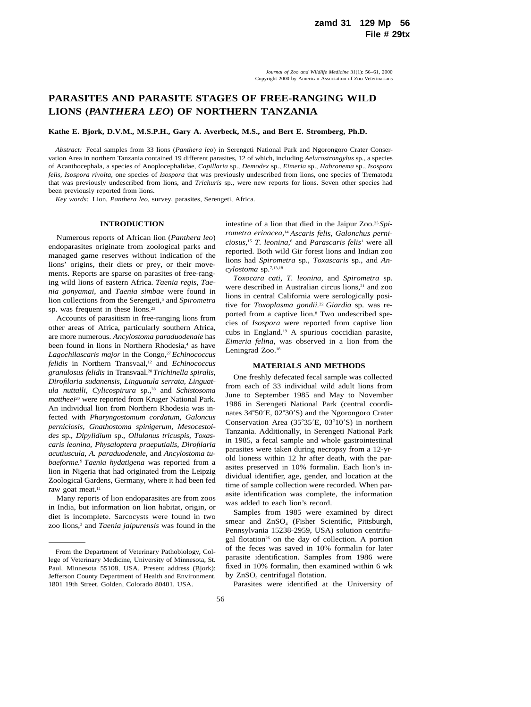# **PARASITES AND PARASITE STAGES OF FREE-RANGING WILD LIONS (***PANTHERA LEO***) OF NORTHERN TANZANIA**

## **Kathe E. Bjork, D.V.M., M.S.P.H., Gary A. Averbeck, M.S., and Bert E. Stromberg, Ph.D.**

*Abstract:* Fecal samples from 33 lions (*Panthera leo*) in Serengeti National Park and Ngorongoro Crater Conservation Area in northern Tanzania contained 19 different parasites, 12 of which, including *Aelurostrongylus* sp., a species of Acanthocephala, a species of Anoplocephalidae, *Capillaria* sp., *Demodex* sp., *Eimeria* sp., *Habronema* sp., *Isospora felis, Isospora rivolta,* one species of *Isospora* that was previously undescribed from lions, one species of Trematoda that was previously undescribed from lions, and *Trichuris* sp., were new reports for lions. Seven other species had been previously reported from lions.

*Key words:* Lion, *Panthera leo,* survey, parasites, Serengeti, Africa.

## **INTRODUCTION**

Numerous reports of African lion (*Panthera leo*) endoparasites originate from zoological parks and managed game reserves without indication of the lions' origins, their diets or prey, or their movements. Reports are sparse on parasites of free-ranging wild lions of eastern Africa. *Taenia regis, Taenia gonyamai,* and *Taenia simbae* were found in lion collections from the Serengeti,<sup>5</sup> and *Spirometra* sp. was frequent in these lions.<sup>23</sup>

Accounts of parasitism in free-ranging lions from other areas of Africa, particularly southern Africa, are more numerous. *Ancylostoma paraduodenale* has been found in lions in Northern Rhodesia,<sup>4</sup> as have Lagochilascaris major in the Congo,<sup>27</sup> Echinococcus *felidis* in Northern Transvaal,12 and *Echinococcus granulosus felidis* in Transvaal.28*Trichinella spiralis, Dirofilaria sudanensis, Linguatula serrata, Linguatula nuttalli, Cylicospirura* sp.,28 and *Schistosoma mattheei*<sup>20</sup> were reported from Kruger National Park. An individual lion from Northern Rhodesia was infected with *Pharyngostomum cordatum, Galoncus perniciosis, Gnathostoma spinigerum, Mesocestoides* sp., *Dipylidium* sp., *Ollulanus tricuspis, Toxascaris leonina, Physaloptera praeputialis, Dirofilaria acutiuscula, A. paraduodenale,* and *Ancylostoma tubaeforme.*<sup>9</sup> *Taenia hydatigena* was reported from a lion in Nigeria that had originated from the Leipzig Zoological Gardens, Germany, where it had been fed raw goat meat.<sup>11</sup>

Many reports of lion endoparasites are from zoos in India, but information on lion habitat, origin, or diet is incomplete. Sarcocysts were found in two zoo lions,3 and *Taenia jaipurensis* was found in the intestine of a lion that died in the Jaipur Zoo.25 *Spirometra erinacea,*<sup>14</sup> *Ascaris felis, Galonchus perniciosus,*<sup>15</sup> *T. leonina,*<sup>6</sup> and *Parascaris felis*<sup>1</sup> were all reported. Both wild Gir forest lions and Indian zoo lions had *Spirometra* sp., *Toxascaris* sp., and *Ancylostoma* sp.7,13,18

*Toxocara cati, T. leonina,* and *Spirometra* sp. were described in Australian circus lions,<sup>21</sup> and zoo lions in central California were serologically positive for *Toxoplasma gondii.*<sup>22</sup> *Giardia* sp. was reported from a captive lion.<sup>8</sup> Two undescribed species of *Isospora* were reported from captive lion cubs in England.19 A spurious coccidian parasite, *Eimeria felina,* was observed in a lion from the Leningrad Zoo.<sup>18</sup>

#### **MATERIALS AND METHODS**

One freshly defecated fecal sample was collected from each of 33 individual wild adult lions from June to September 1985 and May to November 1986 in Serengeti National Park (central coordinates 34°50'E, 02°30'S) and the Ngorongoro Crater Conservation Area (35°35'E, 03°10'S) in northern Tanzania. Additionally, in Serengeti National Park in 1985, a fecal sample and whole gastrointestinal parasites were taken during necropsy from a 12-yrold lioness within 12 hr after death, with the parasites preserved in 10% formalin. Each lion's individual identifier, age, gender, and location at the time of sample collection were recorded. When parasite identification was complete, the information was added to each lion's record.

Samples from 1985 were examined by direct smear and ZnSO<sub>4</sub> (Fisher Scientific, Pittsburgh, Pennsylvania 15238-2959, USA) solution centrifugal flotation<sup>26</sup> on the day of collection. A portion of the feces was saved in 10% formalin for later parasite identification. Samples from 1986 were fixed in 10% formalin, then examined within 6 wk by ZnSO<sub>4</sub> centrifugal flotation.

Parasites were identified at the University of

From the Department of Veterinary Pathobiology, College of Veterinary Medicine, University of Minnesota, St. Paul, Minnesota 55108, USA. Present address (Bjork): Jefferson County Department of Health and Environment, 1801 19th Street, Golden, Colorado 80401, USA.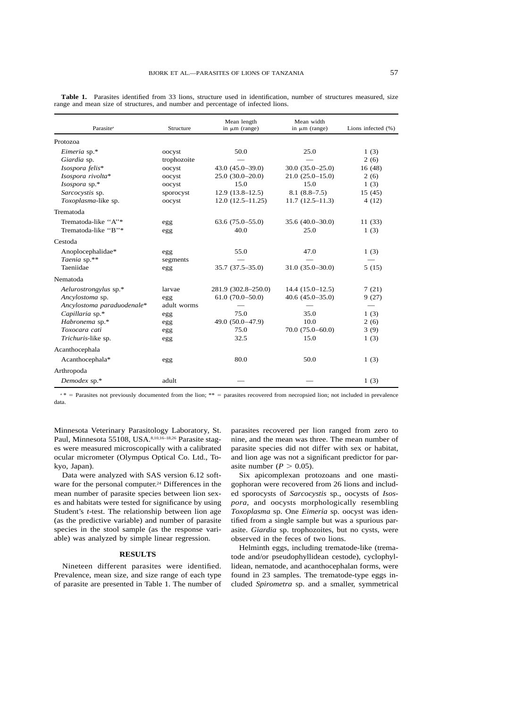| Parasite <sup>a</sup>      | Structure   | Mean length<br>in $\mu$ m (range) | Mean width<br>in $\mu$ m (range) | Lions infected $(\%)$ |
|----------------------------|-------------|-----------------------------------|----------------------------------|-----------------------|
| Protozoa                   |             |                                   |                                  |                       |
| Eimeria sp.*               | oocyst      | 50.0                              | 25.0                             | 1(3)                  |
| Giardia sp.                | trophozoite |                                   |                                  | 2(6)                  |
| Isospora felis*            | oocyst      | $43.0 (45.0 - 39.0)$              | $30.0(35.0-25.0)$                | 16(48)                |
| Isospora rivolta*          | oocyst      | $25.0(30.0-20.0)$                 | $21.0(25.0-15.0)$                | 2(6)                  |
| Isospora sp.*              | oocyst      | 15.0                              | 15.0                             | 1(3)                  |
| Sarcocystis sp.            | sporocyst   | $12.9(13.8-12.5)$                 | $8.1(8.8-7.5)$                   | 15(45)                |
| Toxoplasma-like sp.        | oocyst      | $12.0(12.5-11.25)$                | $11.7(12.5-11.3)$                | 4(12)                 |
| Trematoda                  |             |                                   |                                  |                       |
| Trematoda-like "A"*        | egg         | $63.6(75.0-55.0)$                 | $35.6(40.0-30.0)$                | 11(33)                |
| Trematoda-like "B"*        | egg         | 40.0                              | 25.0                             | 1(3)                  |
| Cestoda                    |             |                                   |                                  |                       |
| Anoplocephalidae*          | egg         | 55.0                              | 47.0                             | 1(3)                  |
| Taenia sp.**               | segments    |                                   |                                  |                       |
| Taeniidae                  | egg         | $35.7(37.5-35.0)$                 | $31.0(35.0 - 30.0)$              | 5(15)                 |
| Nematoda                   |             |                                   |                                  |                       |
| Aelurostrongylus sp.*      | larvae      | 281.9 (302.8–250.0)               | $14.4(15.0-12.5)$                | 7(21)                 |
| Ancylostoma sp.            | egg         | $61.0(70.0 - 50.0)$               | $40.6(45.0-35.0)$                | 9(27)                 |
| Ancylostoma paraduodenale* | adult worms |                                   |                                  |                       |
| Capillaria sp.*            | egg         | 75.0                              | 35.0                             | 1(3)                  |
| Habronema sp.*             | egg         | 49.0 $(50.0-47.9)$                | 10.0                             | 2(6)                  |
| Toxocara cati              | egg         | 75.0                              | $70.0(75.0-60.0)$                | 3(9)                  |
| Trichuris-like sp.         | egg         | 32.5                              | 15.0                             | 1(3)                  |
| Acanthocephala             |             |                                   |                                  |                       |
| Acanthocephala*            | egg         | 80.0                              | 50.0                             | 1(3)                  |
| Arthropoda                 |             |                                   |                                  |                       |
| Demodex sp.*               | adult       |                                   |                                  | 1(3)                  |

**Table 1.** Parasites identified from 33 lions, structure used in identification, number of structures measured, size range and mean size of structures, and number and percentage of infected lions.

 $a * =$  Parasites not previously documented from the lion;  $** =$  parasites recovered from necropsied lion; not included in prevalence data.

Minnesota Veterinary Parasitology Laboratory, St. Paul, Minnesota 55108, USA.<sup>8,10,16-18,26</sup> Parasite stages were measured microscopically with a calibrated ocular micrometer (Olympus Optical Co. Ltd., Tokyo, Japan).

Data were analyzed with SAS version 6.12 software for the personal computer.<sup>24</sup> Differences in the mean number of parasite species between lion sexes and habitats were tested for significance by using Student's *t*-test. The relationship between lion age (as the predictive variable) and number of parasite species in the stool sample (as the response variable) was analyzed by simple linear regression.

### **RESULTS**

Nineteen different parasites were identified. Prevalence, mean size, and size range of each type of parasite are presented in Table 1. The number of parasites recovered per lion ranged from zero to nine, and the mean was three. The mean number of parasite species did not differ with sex or habitat, and lion age was not a significant predictor for parasite number ( $P > 0.05$ ).

Six apicomplexan protozoans and one mastigophoran were recovered from 26 lions and included sporocysts of *Sarcocystis* sp., oocysts of *Isospora,* and oocysts morphologically resembling *Toxoplasma* sp. One *Eimeria* sp. oocyst was identified from a single sample but was a spurious parasite. *Giardia* sp. trophozoites, but no cysts, were observed in the feces of two lions.

Helminth eggs, including trematode-like (trematode and/or pseudophyllidean cestode), cyclophyllidean, nematode, and acanthocephalan forms, were found in 23 samples. The trematode-type eggs included *Spirometra* sp. and a smaller, symmetrical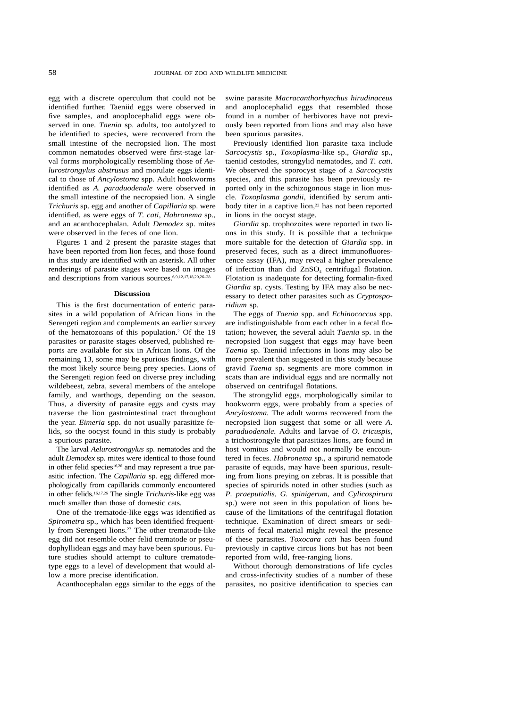egg with a discrete operculum that could not be identified further. Taeniid eggs were observed in five samples, and anoplocephalid eggs were observed in one. *Taenia* sp. adults, too autolyzed to be identified to species, were recovered from the small intestine of the necropsied lion. The most common nematodes observed were first-stage larval forms morphologically resembling those of *Aelurostrongylus abstrusus* and morulate eggs identical to those of *Ancylostoma* spp. Adult hookworms identified as *A. paraduodenale* were observed in the small intestine of the necropsied lion. A single *Trichuris* sp. egg and another of *Capillaria* sp. were identified, as were eggs of *T. cati, Habronema* sp., and an acanthocephalan. Adult *Demodex* sp. mites were observed in the feces of one lion.

Figures 1 and 2 present the parasite stages that have been reported from lion feces, and those found in this study are identified with an asterisk. All other renderings of parasite stages were based on images and descriptions from various sources.6,9,12,17,18,20,26–28

#### **Discussion**

This is the first documentation of enteric parasites in a wild population of African lions in the Serengeti region and complements an earlier survey of the hematozoans of this population.2 Of the 19 parasites or parasite stages observed, published reports are available for six in African lions. Of the remaining 13, some may be spurious findings, with the most likely source being prey species. Lions of the Serengeti region feed on diverse prey including wildebeest, zebra, several members of the antelope family, and warthogs, depending on the season. Thus, a diversity of parasite eggs and cysts may traverse the lion gastrointestinal tract throughout the year. *Eimeria* spp. do not usually parasitize felids, so the oocyst found in this study is probably a spurious parasite.

The larval *Aelurostrongylus* sp. nematodes and the adult *Demodex* sp. mites were identical to those found in other felid species<sup>16,26</sup> and may represent a true parasitic infection. The *Capillaria* sp. egg differed morphologically from capillarids commonly encountered in other felids.16,17,26 The single *Trichuris*-like egg was much smaller than those of domestic cats.

One of the trematode-like eggs was identified as *Spirometra* sp., which has been identified frequently from Serengeti lions.<sup>23</sup> The other trematode-like egg did not resemble other felid trematode or pseudophyllidean eggs and may have been spurious. Future studies should attempt to culture trematodetype eggs to a level of development that would allow a more precise identification.

Acanthocephalan eggs similar to the eggs of the

swine parasite *Macracanthorhynchus hirudinaceus* and anoplocephalid eggs that resembled those found in a number of herbivores have not previously been reported from lions and may also have been spurious parasites.

Previously identified lion parasite taxa include *Sarcocystis* sp., *Toxoplasma*-like sp., *Giardia* sp., taeniid cestodes, strongylid nematodes, and *T. cati.* We observed the sporocyst stage of a *Sarcocystis* species, and this parasite has been previously reported only in the schizogonous stage in lion muscle. *Toxoplasma gondii,* identified by serum antibody titer in a captive lion,<sup>22</sup> has not been reported in lions in the oocyst stage.

*Giardia* sp. trophozoites were reported in two lions in this study. It is possible that a technique more suitable for the detection of *Giardia* spp. in preserved feces, such as a direct immunofluorescence assay (IFA), may reveal a higher prevalence of infection than did  $ZnSO<sub>4</sub>$  centrifugal flotation. Flotation is inadequate for detecting formalin-fixed *Giardia* sp. cysts. Testing by IFA may also be necessary to detect other parasites such as *Cryptosporidium* sp.

The eggs of *Taenia* spp. and *Echinococcus* spp. are indistinguishable from each other in a fecal flotation; however, the several adult *Taenia* sp. in the necropsied lion suggest that eggs may have been *Taenia* sp. Taeniid infections in lions may also be more prevalent than suggested in this study because gravid *Taenia* sp. segments are more common in scats than are individual eggs and are normally not observed on centrifugal flotations.

The strongylid eggs, morphologically similar to hookworm eggs, were probably from a species of *Ancylostoma.* The adult worms recovered from the necropsied lion suggest that some or all were *A. paraduodenale.* Adults and larvae of *O. tricuspis,* a trichostrongyle that parasitizes lions, are found in host vomitus and would not normally be encountered in feces. *Habronema* sp., a spirurid nematode parasite of equids, may have been spurious, resulting from lions preying on zebras. It is possible that species of spirurids noted in other studies (such as *P. praeputialis, G. spinigerum,* and *Cylicospirura* sp.) were not seen in this population of lions because of the limitations of the centrifugal flotation technique. Examination of direct smears or sediments of fecal material might reveal the presence of these parasites. *Toxocara cati* has been found previously in captive circus lions but has not been reported from wild, free-ranging lions.

Without thorough demonstrations of life cycles and cross-infectivity studies of a number of these parasites, no positive identification to species can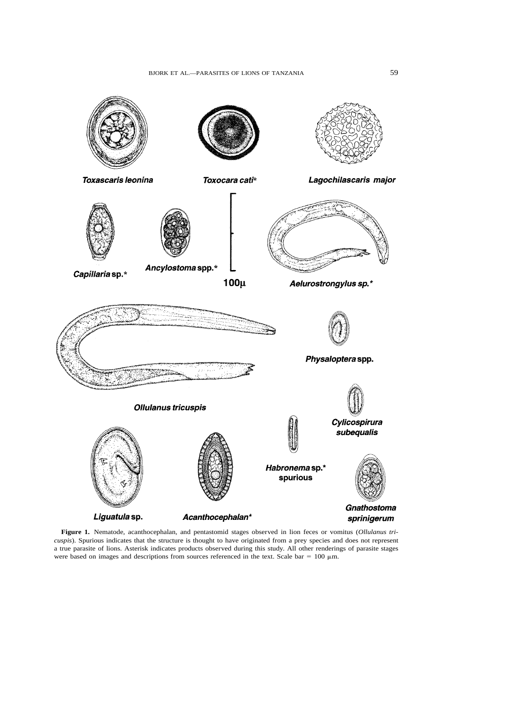

**Figure 1.** Nematode, acanthocephalan, and pentastomid stages observed in lion feces or vomitus (*Ollulanus tricuspis*). Spurious indicates that the structure is thought to have originated from a prey species and does not represent a true parasite of lions. Asterisk indicates products observed during this study. All other renderings of parasite stages were based on images and descriptions from sources referenced in the text. Scale bar =  $100 \mu m$ .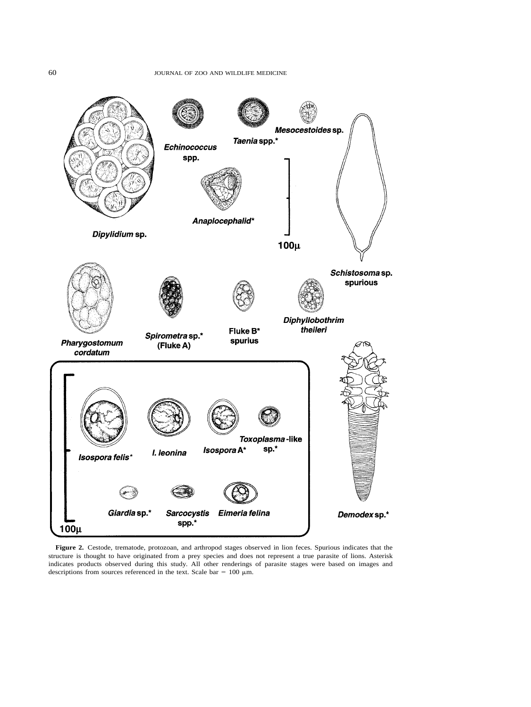

**Figure 2.** Cestode, trematode, protozoan, and arthropod stages observed in lion feces. Spurious indicates that the structure is thought to have originated from a prey species and does not represent a true parasite of lions. Asterisk indicates products observed during this study. All other renderings of parasite stages were based on images and descriptions from sources referenced in the text. Scale bar =  $100 \mu m$ .